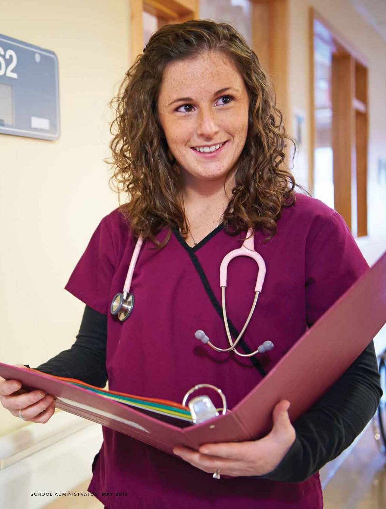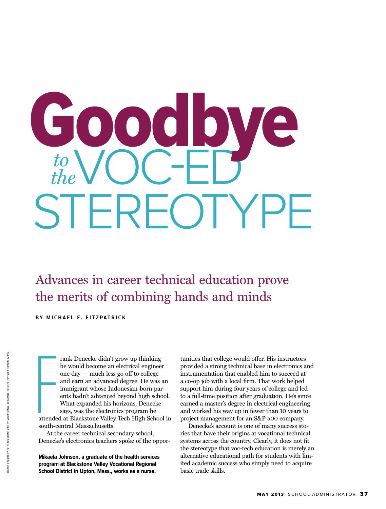# Goodbye *to*  Voc-Ed  *the* STEREOTYP

# Advances in career technical education prove the merits of combining hands and minds

BY MICHAEL F. FITZPATRICK

attended<br>south-ce rank Denecke didn't grow up thinking he would become an electrical engineer one day — much less go off to college and earn an advanced degree. He was an immigrant whose Indonesian-born parents hadn't advanced beyond high school. What expanded his horizons, Denecke says, was the electronics program he attended at Blackstone Valley Tech High School in

south-central Massachusetts.

At the career technical secondary school, Denecke's electronics teachers spoke of the oppor-

**Mikaela Johnson, a graduate of the health services program at Blackstone Valley Vocational Regional School District in Upton, Mass., works as a nurse.**

tunities that college would offer. His instructors provided a strong technical base in electronics and instrumentation that enabled him to succeed at a co-op job with a local firm. That work helped support him during four years of college and led to a full-time position after graduation. He's since earned a master's degree in electrical engineering and worked his way up in fewer than 10 years to project management for an S&P 500 company.

Denecke's account is one of many success stories that have their origins at vocational technical systems across the country. Clearly, it does not fit the stereotype that voc-tech education is merely an alternative educational path for students with limited academic success who simply need to acquire basic trade skills.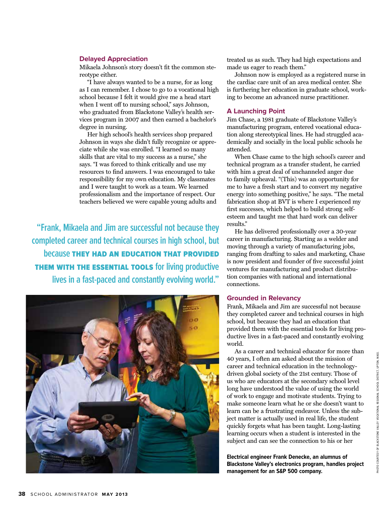## **Delayed Appreciation**

Mikaela Johnson's story doesn't fit the common stereotype either.

"I have always wanted to be a nurse, for as long as I can remember. I chose to go to a vocational high school because I felt it would give me a head start when I went off to nursing school," says Johnson, who graduated from Blackstone Valley's health services program in 2007 and then earned a bachelor's degree in nursing.

Her high school's health services shop prepared Johnson in ways she didn't fully recognize or appreciate while she was enrolled. "I learned so many skills that are vital to my success as a nurse," she says. "I was forced to think critically and use my resources to find answers. I was encouraged to take responsibility for my own education. My classmates and I were taught to work as a team. We learned professionalism and the importance of respect. Our teachers believed we were capable young adults and

**"Frank, Mikaela and Jim are successful not because they completed career and technical courses in high school, but because** they had an education that provided them with the essential tools **for living productive lives in a fast-paced and constantly evolving world."**



treated us as such. They had high expectations and made us eager to reach them."

Johnson now is employed as a registered nurse in the cardiac care unit of an area medical center. She is furthering her education in graduate school, working to become an advanced nurse practitioner.

## **A Launching Point**

Jim Chase, a 1981 graduate of Blackstone Valley's manufacturing program, entered vocational education along stereotypical lines. He had struggled academically and socially in the local public schools he attended.

When Chase came to the high school's career and technical program as a transfer student, he carried with him a great deal of unchanneled anger due to family upheaval. "(This) was an opportunity for me to have a fresh start and to convert my negative energy into something positive," he says. "The metal fabrication shop at BVT is where I experienced my first successes, which helped to build strong selfesteem and taught me that hard work can deliver results."

He has delivered professionally over a 30-year career in manufacturing. Starting as a welder and moving through a variety of manufacturing jobs, ranging from drafting to sales and marketing, Chase is now president and founder of five successful joint ventures for manufacturing and product distribution companies with national and international connections.

## **Grounded in Relevancy**

Frank, Mikaela and Jim are successful not because they completed career and technical courses in high school, but because they had an education that provided them with the essential tools for living productive lives in a fast-paced and constantly evolving world.

As a career and technical educator for more than 40 years, I often am asked about the mission of career and technical education in the technologydriven global society of the 21st century. Those of us who are educators at the secondary school level long have understood the value of using the world of work to engage and motivate students. Trying to make someone learn what he or she doesn't want to learn can be a frustrating endeavor. Unless the subject matter is actually used in real life, the student quickly forgets what has been taught. Long-lasting learning occurs when a student is interested in the subject and can see the connection to his or her As a career and technical educator for infore than<br>40 years, I often am asked about the mission of<br>career and technical education in the technology-<br>driven global society of the 21st century. Those of<br>us who are educators

**Electrical engineer Frank Denecke, an alumnus of Blackstone Valley's electronics program, handles project**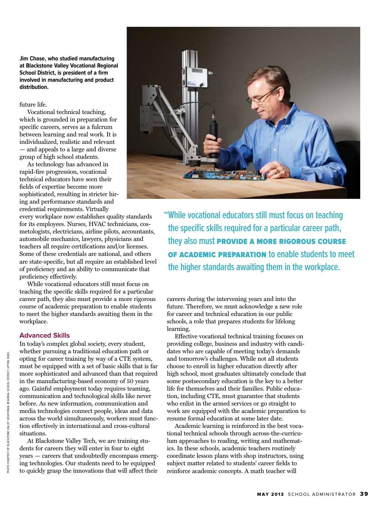**Jim Chase, who studied manufacturing at Blackstone Valley Vocational Regional School District, is president of a firm involved in manufacturing and product distribution.**

# future life.

Vocational technical teaching, which is grounded in preparation for specific careers, serves as a fulcrum between learning and real work. It is individualized, realistic and relevant — and appeals to a large and diverse group of high school students.

As technology has advanced in rapid-fire progression, vocational technical educators have seen their fields of expertise become more sophisticated, resulting in stricter hiring and performance standards and credential requirements. Virtually

every workplace now establishes quality standards for its employees. Nurses, HVAC technicians, cosmetologists, electricians, airline pilots, accountants, automobile mechanics, lawyers, physicians and teachers all require certifications and/or licenses. Some of these credentials are national, and others are state-specific, but all require an established level of proficiency and an ability to communicate that proficiency effectively.

While vocational educators still must focus on teaching the specific skills required for a particular career path, they also must provide a more rigorous course of academic preparation to enable students to meet the higher standards awaiting them in the workplace.

#### **Advanced Skills**

In today's complex global society, every student, whether pursuing a traditional education path or opting for career training by way of a CTE system, must be equipped with a set of basic skills that is far more sophisticated and advanced than that required in the manufacturing-based economy of 50 years ago. Gainful employment today requires teaming, communication and technological skills like never before. As new information, communication and media technologies connect people, ideas and data across the world simultaneously, workers must function effectively in international and cross-cultural situations.

At Blackstone Valley Tech, we are training students for careers they will enter in four to eight years — careers that undoubtedly encompass emerging technologies. Our students need to be equipped to quickly grasp the innovations that will affect their



**"While vocational educators still must focus on teaching the specific skills required for a particular career path, they also must** provide a more rigorous course of academic preparation **to enable students to meet the higher standards awaiting them in the workplace.**

careers during the intervening years and into the future. Therefore, we must acknowledge a new role for career and technical education in our public schools, a role that prepares students for lifelong learning.

Effective vocational technical training focuses on providing college, business and industry with candidates who are capable of meeting today's demands and tomorrow's challenges. While not all students choose to enroll in higher education directly after high school, most graduates ultimately conclude that some postsecondary education is the key to a better life for themselves and their families. Public education, including CTE, must guarantee that students who enlist in the armed services or go straight to work are equipped with the academic preparation to resume formal education at some later date.

Academic learning is reinforced in the best vocational technical schools through across-the-curriculum approaches to reading, writing and mathematics. In these schools, academic teachers routinely coordinate lesson plans with shop instructors, using subject matter related to students' career fields to reinforce academic concepts. A math teacher will